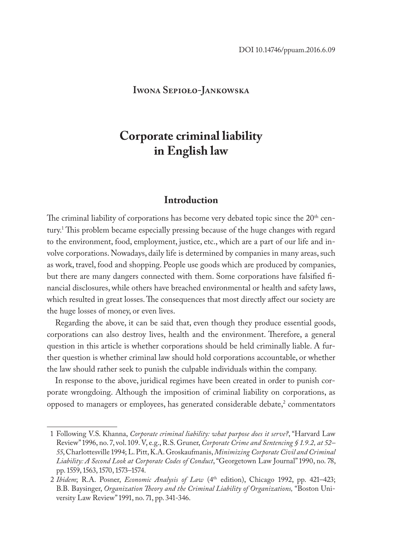#### **Iwona Sepioło-Jankowska**

# **Corporate criminal liability in English law**

#### **Introduction**

The criminal liability of corporations has become very debated topic since the 20<sup>th</sup> century.1 This problem became especially pressing because of the huge changes with regard to the environment, food, employment, justice, etc., which are a part of our life and involve corporations. Nowadays, daily life is determined by companies in many areas, such as work, travel, food and shopping. People use goods which are produced by companies, but there are many dangers connected with them. Some corporations have falsified financial disclosures, while others have breached environmental or health and safety laws, which resulted in great losses. The consequences that most directly affect our society are the huge losses of money, or even lives.

Regarding the above, it can be said that, even though they produce essential goods, corporations can also destroy lives, health and the environment. Therefore, a general question in this article is whether corporations should be held criminally liable. A further question is whether criminal law should hold corporations accountable, or whether the law should rather seek to punish the culpable individuals within the company.

In response to the above, juridical regimes have been created in order to punish corporate wrongdoing. Although the imposition of criminal liability on corporations, as opposed to managers or employees, has generated considerable debate,<sup>2</sup> commentators

<sup>1</sup> Following V.S. Khanna, *Corporate criminal liability: what purpose does it serve?*, "Harvard Law Review" 1996, no. 7, vol. 109. V, e.g., R.S. Gruner, *Corporate Crime and Sentencing § 1.9.2, at 52– 55*, Charlottesville 1994; L. Pitt, K.A. Groskaufmanis, *Minimizing Corporate Civil and Criminal Liability: A Second Look at Corporate Codes of Conduct*, "Georgetown Law Journal" 1990, no. 78, pp. 1559, 1563, 1570, 1573–1574.

<sup>2</sup> *Ibidem*; R.A. Posner, *Economic Analysis of Law* (4th edition), Chicago 1992, pp. 421–423; B.B. Baysinger, *Organization Theory and the Criminal Liability of Organizations,* "Boston University Law Review" 1991, no. 71, pp. 341-346.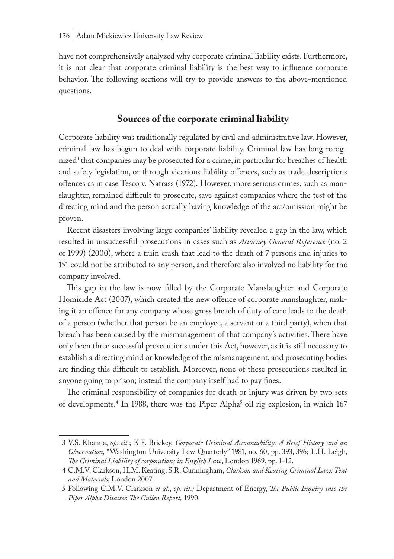have not comprehensively analyzed why corporate criminal liability exists. Furthermore, it is not clear that corporate criminal liability is the best way to influence corporate behavior. The following sections will try to provide answers to the above-mentioned questions.

#### **Sources of the corporate criminal liability**

Corporate liability was traditionally regulated by civil and administrative law. However, criminal law has begun to deal with corporate liability. Criminal law has long recognized<sup>3</sup> that companies may be prosecuted for a crime, in particular for breaches of health and safety legislation, or through vicarious liability offences, such as trade descriptions offences as in case Tesco v. Natrass (1972). However, more serious crimes, such as manslaughter, remained difficult to prosecute, save against companies where the test of the directing mind and the person actually having knowledge of the act/omission might be proven.

Recent disasters involving large companies' liability revealed a gap in the law, which resulted in unsuccessful prosecutions in cases such as *Attorney General Reference* (no. 2 of 1999) (2000), where a train crash that lead to the death of 7 persons and injuries to 151 could not be attributed to any person, and therefore also involved no liability for the company involved.

This gap in the law is now filled by the Corporate Manslaughter and Corporate Homicide Act (2007), which created the new offence of corporate manslaughter, making it an offence for any company whose gross breach of duty of care leads to the death of a person (whether that person be an employee, a servant or a third party), when that breach has been caused by the mismanagement of that company's activities. There have only been three successful prosecutions under this Act, however, as it is still necessary to establish a directing mind or knowledge of the mismanagement, and prosecuting bodies are finding this difficult to establish. Moreover, none of these prosecutions resulted in anyone going to prison; instead the company itself had to pay fines.

The criminal responsibility of companies for death or injury was driven by two sets of developments.<sup>4</sup> In 1988, there was the Piper Alpha<sup>3</sup> oil rig explosion, in which 167

<sup>3</sup> V.S. Khanna, *op. cit.*; K.F. Brickey, *Corporate Criminal Accountability: A Brief History and an Observation,* "Washington University Law Quarterly" 1981, no. 60, pp. 393, 396; L.H. Leigh, *The Criminal Liability of corporations in English Law*, London 1969, pp. 1–12.

<sup>4</sup> C.M.V. Clarkson, H.M. Keating, S.R. Cunningham, *Clarkson and Keating Criminal Law: Text and Materials,* London 2007.

<sup>5</sup> Following C.M.V. Clarkson *et al.*, *op. cit.;* Department of Energy, *The Public Inquiry into the Piper Alpha Disaster. The Cullen Report,* 1990.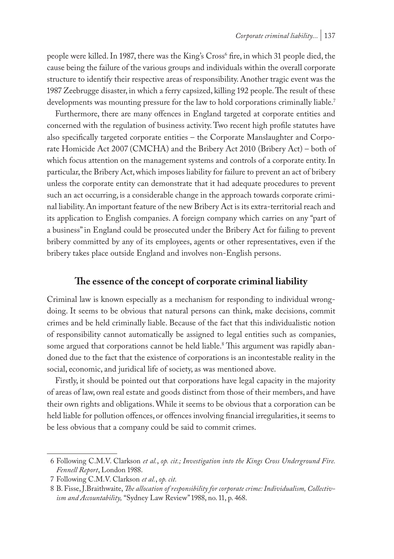people were killed. In 1987, there was the King's Cross<sup>6</sup> fire, in which 31 people died, the cause being the failure of the various groups and individuals within the overall corporate structure to identify their respective areas of responsibility. Another tragic event was the 1987 Zeebrugge disaster, in which a ferry capsized, killing 192 people. The result of these developments was mounting pressure for the law to hold corporations criminally liable.<sup>7</sup>

Furthermore, there are many offences in England targeted at corporate entities and concerned with the regulation of business activity. Two recent high profile statutes have also specifically targeted corporate entities – the Corporate Manslaughter and Corporate Homicide Act 2007 (CMCHA) and the Bribery Act 2010 (Bribery Act) – both of which focus attention on the management systems and controls of a corporate entity. In particular, the Bribery Act, which imposes liability for failure to prevent an act of bribery unless the corporate entity can demonstrate that it had adequate procedures to prevent such an act occurring, is a considerable change in the approach towards corporate criminal liability. An important feature of the new Bribery Act is its extra-territorial reach and its application to English companies. A foreign company which carries on any "part of a business" in England could be prosecuted under the Bribery Act for failing to prevent bribery committed by any of its employees, agents or other representatives, even if the bribery takes place outside England and involves non-English persons.

## **The essence of the concept of corporate criminal liability**

Criminal law is known especially as a mechanism for responding to individual wrongdoing. It seems to be obvious that natural persons can think, make decisions, commit crimes and be held criminally liable. Because of the fact that this individualistic notion of responsibility cannot automatically be assigned to legal entities such as companies, some argued that corporations cannot be held liable.8 This argument was rapidly abandoned due to the fact that the existence of corporations is an incontestable reality in the social, economic, and juridical life of society, as was mentioned above.

Firstly, it should be pointed out that corporations have legal capacity in the majority of areas of law, own real estate and goods distinct from those of their members, and have their own rights and obligations. While it seems to be obvious that a corporation can be held liable for pollution offences, or offences involving financial irregularities, it seems to be less obvious that a company could be said to commit crimes.

<sup>6</sup> Following C.M.V. Clarkson *et al.*, *op. cit.; Investigation into the Kings Cross Underground Fire. Fennell Report*, London 1988.

<sup>7</sup> Following C.M.V. Clarkson *et al.*, *op. cit.*

<sup>8</sup> B. Fisse, J.Braithwaite, *The allocation of responsibility for corporate crime: Individualism, Collectivism and Accountability,* "Sydney Law Review" 1988, no. 11, p. 468.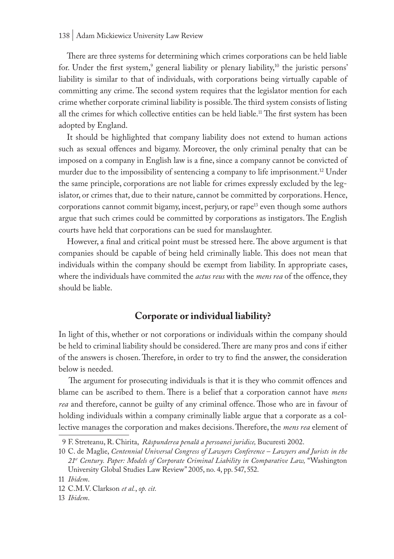There are three systems for determining which crimes corporations can be held liable for. Under the first system, $9$  general liability or plenary liability, $10$  the juristic persons' liability is similar to that of individuals, with corporations being virtually capable of committing any crime. The second system requires that the legislator mention for each crime whether corporate criminal liability is possible. The third system consists of listing all the crimes for which collective entities can be held liable.<sup>11</sup> The first system has been adopted by England.

It should be highlighted that company liability does not extend to human actions such as sexual offences and bigamy. Moreover, the only criminal penalty that can be imposed on a company in English law is a fine, since a company cannot be convicted of murder due to the impossibility of sentencing a company to life imprisonment.<sup>12</sup> Under the same principle, corporations are not liable for crimes expressly excluded by the legislator, or crimes that, due to their nature, cannot be committed by corporations. Hence, corporations cannot commit bigamy, incest, perjury, or rape<sup>13</sup> even though some authors argue that such crimes could be committed by corporations as instigators. The English courts have held that corporations can be sued for manslaughter.

However, a final and critical point must be stressed here. The above argument is that companies should be capable of being held criminally liable. This does not mean that individuals within the company should be exempt from liability. In appropriate cases, where the individuals have commited the *actus reus* with the *mens rea* of the offence, they should be liable.

## **Corporate or individual liability?**

In light of this, whether or not corporations or individuals within the company should be held to criminal liability should be considered. There are many pros and cons if either of the answers is chosen. Therefore, in order to try to find the answer, the consideration below is needed.

 The argument for prosecuting individuals is that it is they who commit offences and blame can be ascribed to them. There is a belief that a corporation cannot have *mens rea* and therefore, cannot be guilty of any criminal offence. Those who are in favour of holding individuals within a company criminally liable argue that a corporate as a collective manages the corporation and makes decisions. Therefore, the *mens rea* element of

<sup>9</sup> F. Streteanu, R. Chirita, *Răspunderea penală a persoanei juridice,* Bucuresti 2002.

<sup>10</sup> C. de Maglie, *Centennial Universal Congress of Lawyers Conference – Lawyers and Jurists in the 21st Century. Paper: Models of Corporate Criminal Liability in Comparative Law,* "Washington University Global Studies Law Review" 2005, no. 4, pp. 547, 552.

<sup>11</sup> *Ibidem*.

<sup>12</sup> C.M.V. Clarkson *et al.*, *op. cit.*

<sup>13</sup> *Ibidem*.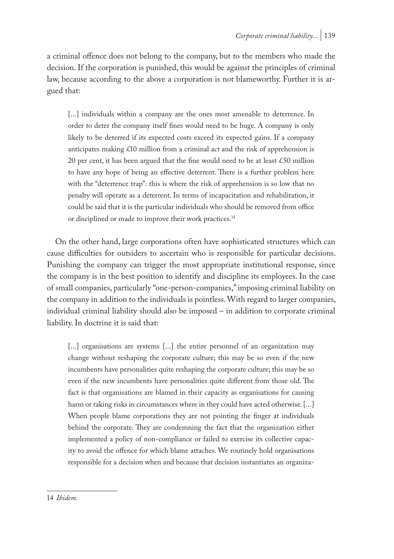a criminal offence does not belong to the company, but to the members who made the decision. If the corporation is punished, this would be against the principles of criminal law, because according to the above a corporation is not blameworthy. Further it is argued that:

[...] individuals within a company are the ones most amenable to deterrence. In order to deter the company itself fines would need to be huge. A company is only likely to be deterred if its expected costs exceed its expected gains. If a company anticipates making £10 million from a criminal act and the risk of apprehension is 20 per cent, it has been argued that the fine would need to be at least £50 million to have any hope of being an effective deterrent. There is a further problem here with the "deterrence trap": this is where the risk of apprehension is so low that no penalty will operate as a deterrent. In terms of incapacitation and rehabilitation, it could be said that it is the particular individuals who should be removed from office or disciplined or made to improve their work practices.14

On the other hand, large corporations often have sophisticated structures which can cause difficulties for outsiders to ascertain who is responsible for particular decisions. Punishing the company can trigger the most appropriate institutional response, since the company is in the best position to identify and discipline its employees. In the case of small companies, particularly "one-person-companies," imposing criminal liability on the company in addition to the individuals is pointless. With regard to larger companies, individual criminal liability should also be imposed – in addition to corporate criminal liability. In doctrine it is said that:

[...] organisations are systems [...] the entire personnel of an organization may change without reshaping the corporate culture; this may be so even if the new incumbents have personalities quite reshaping the corporate culture; this may be so even if the new incumbents have personalities quite different from those old. The fact is that organisations are blamed in their capacity as organisations for causing harm or taking risks in circumstances where in they could have acted otherwise. [...] When people blame corporations they are not pointing the finger at individuals behind the corporate. They are condemning the fact that the organization either implemented a policy of non-compliance or failed to exercise its collective capacity to avoid the offence for which blame attaches. We routinely hold organisations responsible for a decision when and because that decision instantiates an organiza-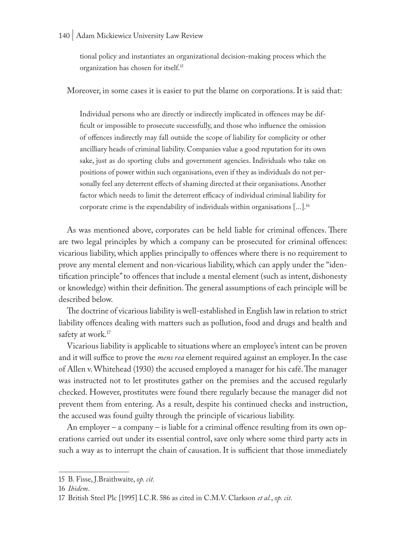#### 140 | Adam Mickiewicz University Law Review

tional policy and instantiates an organizational decision-making process which the organization has chosen for itself.15

Moreover, in some cases it is easier to put the blame on corporations. It is said that:

Individual persons who are directly or indirectly implicated in offences may be difficult or impossible to prosecute successfully, and those who influence the omission of offences indirectly may fall outside the scope of liability for complicity or other ancilliary heads of criminal liability. Companies value a good reputation for its own sake, just as do sporting clubs and government agencies. Individuals who take on positions of power within such organisations, even if they as individuals do not personally feel any deterrent effects of shaming directed at their organisations. Another factor which needs to limit the deterrent efficacy of individual criminal liability for corporate crime is the expendability of individuals within organisations [...].16

As was mentioned above, corporates can be held liable for criminal offences. There are two legal principles by which a company can be prosecuted for criminal offences: vicarious liability, which applies principally to offences where there is no requirement to prove any mental element and non-vicarious liability, which can apply under the "identification principle" to offences that include a mental element (such as intent, dishonesty or knowledge) within their definition. The general assumptions of each principle will be described below.

The doctrine of vicarious liability is well-established in English law in relation to strict liability offences dealing with matters such as pollution, food and drugs and health and safety at work.<sup>17</sup>

Vicarious liability is applicable to situations where an employee's intent can be proven and it will suffice to prove the *mens rea* element required against an employer. In the case of Allen v. Whitehead (1930) the accused employed a manager for his café. The manager was instructed not to let prostitutes gather on the premises and the accused regularly checked. However, prostitutes were found there regularly because the manager did not prevent them from entering. As a result, despite his continued checks and instruction, the accused was found guilty through the principle of vicarious liability.

An employer – a company – is liable for a criminal offence resulting from its own operations carried out under its essential control, save only where some third party acts in such a way as to interrupt the chain of causation. It is sufficient that those immediately

<sup>15</sup> B. Fisse, J.Braithwaite, *op. cit.*

<sup>16</sup> *Ibidem*.

<sup>17</sup> British Steel Plc [1995] I.C.R. 586 as cited in C.M.V. Clarkson *et al.*, *op. cit.*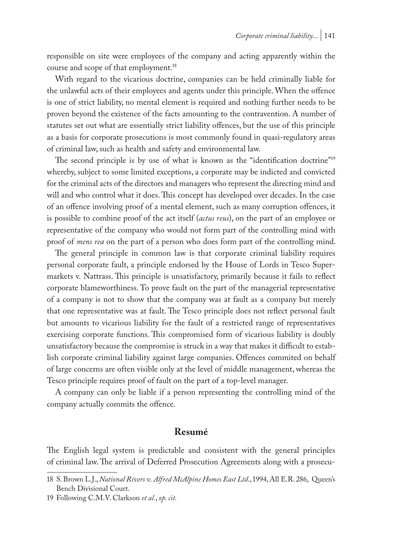responsible on site were employees of the company and acting apparently within the course and scope of that employment.<sup>18</sup>

With regard to the vicarious doctrine, companies can be held criminally liable for the unlawful acts of their employees and agents under this principle. When the offence is one of strict liability, no mental element is required and nothing further needs to be proven beyond the existence of the facts amounting to the contravention. A number of statutes set out what are essentially strict liability offences, but the use of this principle as a basis for corporate prosecutions is most commonly found in quasi-regulatory areas of criminal law, such as health and safety and environmental law.

The second principle is by use of what is known as the "identification doctrine"<sup>19</sup> whereby, subject to some limited exceptions, a corporate may be indicted and convicted for the criminal acts of the directors and managers who represent the directing mind and will and who control what it does. This concept has developed over decades. In the case of an offence involving proof of a mental element, such as many corruption offences, it is possible to combine proof of the act itself (*actus reus*), on the part of an employee or representative of the company who would not form part of the controlling mind with proof of *mens rea* on the part of a person who does form part of the controlling mind.

The general principle in common law is that corporate criminal liability requires personal corporate fault, a principle endorsed by the House of Lords in Tesco Supermarkets v. Nattrass. This principle is unsatisfactory, primarily because it fails to reflect corporate blameworthiness. To prove fault on the part of the managerial representative of a company is not to show that the company was at fault as a company but merely that one representative was at fault. The Tesco principle does not reflect personal fault but amounts to vicarious liability for the fault of a restricted range of representatives exercising corporate functions. This compromised form of vicarious liability is doubly unsatisfactory because the compromise is struck in a way that makes it difficult to establish corporate criminal liability against large companies. Offences commited on behalf of large concerns are often visible only at the level of middle management, whereas the Tesco principle requires proof of fault on the part of a top-level manager.

A company can only be liable if a person representing the controlling mind of the company actually commits the offence.

#### **Resumé**

The English legal system is predictable and consistent with the general principles of criminal law. The arrival of Deferred Prosecution Agreements along with a prosecu-

<sup>18</sup> S. Brown L.J., *National Rivers v. Alfred McAlpine Homes East Ltd*., 1994, All E.R. 286, Queen's Bench Divisional Court.

<sup>19</sup> Following C.M.V. Clarkson *et al.*, *op. cit.*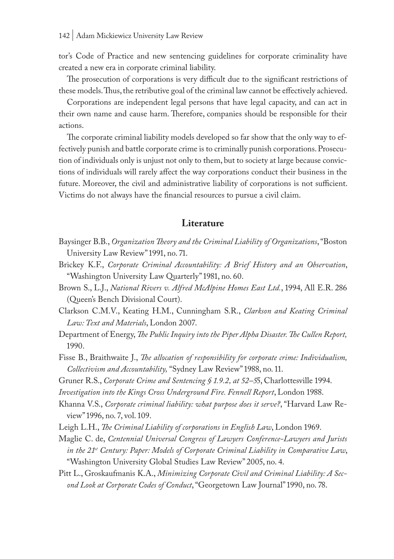tor's Code of Practice and new sentencing guidelines for corporate criminality have created a new era in corporate criminal liability.

The prosecution of corporations is very difficult due to the significant restrictions of these models. Thus, the retributive goal of the criminal law cannot be effectively achieved.

Corporations are independent legal persons that have legal capacity, and can act in their own name and cause harm. Therefore, companies should be responsible for their actions.

The corporate criminal liability models developed so far show that the only way to effectively punish and battle corporate crime is to criminally punish corporations. Prosecution of individuals only is unjust not only to them, but to society at large because convictions of individuals will rarely affect the way corporations conduct their business in the future. Moreover, the civil and administrative liability of corporations is not sufficient. Victims do not always have the financial resources to pursue a civil claim.

#### **Literature**

- Baysinger B.B., *Organization Theory and the Criminal Liability of Organizations*, "Boston University Law Review" 1991, no. 71.
- Brickey K.F., *Corporate Criminal Accountability: A Brief History and an Observation*, "Washington University Law Quarterly" 1981, no. 60.
- Brown S., L.J., *National Rivers v. Alfred McAlpine Homes East Ltd.*, 1994, All E.R. 286 (Queen's Bench Divisional Court).
- Clarkson C.M.V., Keating H.M., Cunningham S.R., *Clarkson and Keating Criminal Law: Text and Materials*, London 2007.
- Department of Energy, *The Public Inquiry into the Piper Alpha Disaster. The Cullen Report,* 1990.
- Fisse B., Braithwaite J., *The allocation of responsibility for corporate crime: Individualism, Collectivism and Accountability,* "Sydney Law Review" 1988, no. 11.
- Gruner R.S., *Corporate Crime and Sentencing § 1.9.2, at 52–5*5, Charlottesville 1994.
- *Investigation into the Kings Cross Underground Fire. Fennell Report*, London 1988.
- Khanna V.S., *Corporate criminal liability: what purpose does it serve?*, "Harvard Law Review" 1996, no. 7, vol. 109.
- Leigh L.H., *The Criminal Liability of corporations in English Law*, London 1969.
- Maglie C. de, *Centennial Universal Congress of Lawyers Conference-Lawyers and Jurists in the 21st Century: Paper: Models of Corporate Criminal Liability in Comparative Law*, "Washington University Global Studies Law Review" 2005, no. 4.
- Pitt L., Groskaufmanis K.A., *Minimizing Corporate Civil and Criminal Liability: A Second Look at Corporate Codes of Conduct*, "Georgetown Law Journal" 1990, no. 78.